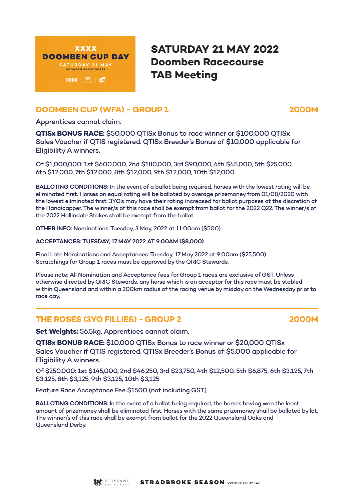

# **SATURDAY 21 MAY 2022 Doomben Racecourse TAB Meeting**

# **DOOMBEN CUP (WFA) - GROUP 1 2000M**

Apprentices cannot claim.

**QTISx BONUS RACE:** \$50,000 QTISx Bonus to race winner or \$100,000 QTISx Sales Voucher if QTIS registered. QTISx Breeder's Bonus of \$10,000 applicable for Eligibility A winners.

Of \$1,000,000: 1st \$600,000, 2nd \$180,000, 3rd \$90,000, 4th \$45,000, 5th \$25,000, 6th \$12,000, 7th \$12,000, 8th \$12,000, 9th \$12,000, 10th \$12,000

**BALLOTING CONDITIONS:** In the event of a ballot being required, horses with the lowest rating will be eliminated first. Horses on equal rating will be balloted by average prizemoney from 01/08/2020 with the lowest eliminated first. 3YO's may have their rating increased for ballot purposes at the discretion of the Handicapper. The winner/s of this race shall be exempt from ballot for the 2022 Q22. The winner/s of the 2022 Hollindale Stakes shall be exempt from the ballot.

**OTHER INFO:** Nominations: Tuesday, 3 May, 2022 at 11:00am (\$500)

**ACCEPTANCES: TUESDAY, 17 MAY 2022 AT 9:00AM (\$8,000)**

Final Late Nominations and Acceptances: Tuesday, 17 May 2022 at 9:00am (\$25,500) Scratchings for Group 1 races must be approved by the QRIC Stewards.

Please note: All Nomination and Acceptance fees for Group 1 races are exclusive of GST. Unless otherwise directed by QRIC Stewards, any horse which is an acceptor for this race must be stabled within Queensland and within a 200km radius of the racing venue by midday on the Wednesday prior to race day.

### **THE ROSES (3YO FILLIES) - GROUP 2 2000M**

**Set Weights:** 56.5kg. Apprentices cannot claim.

**QTISx BONUS RACE:** \$10,000 QTISx Bonus to race winner or \$20,000 QTISx Sales Voucher if QTIS registered. QTISx Breeder's Bonus of \$5,000 applicable for Eligibility A winners.

Of \$250,000: 1st \$145,000, 2nd \$46,250, 3rd \$23,750, 4th \$12,500, 5th \$6,875, 6th \$3,125, 7th \$3,125, 8th \$3,125, 9th \$3,125, 10th \$3,125

Feature Race Acceptance Fee \$1500 (not including GST)

**BALLOTING CONDITIONS:** In the event of a ballot being required, the horses having won the least amount of prizemoney shall be eliminated first. Horses with the same prizemoney shall be balloted by lot. The winner/s of this race shall be exempt from ballot for the 2022 Queensland Oaks and Queensland Derby.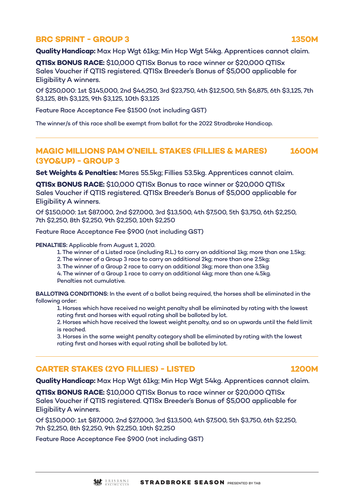### **BRC SPRINT - GROUP 3** 1350M

**Quality Handicap:** Max Hcp Wgt 61kg; Min Hcp Wgt 54kg. Apprentices cannot claim.

**QTISx BONUS RACE:** \$10,000 QTISx Bonus to race winner or \$20,000 QTISx Sales Voucher if QTIS registered. QTISx Breeder's Bonus of \$5,000 applicable for Eligibility A winners.

Of \$250,000: 1st \$145,000, 2nd \$46,250, 3rd \$23,750, 4th \$12,500, 5th \$6,875, 6th \$3,125, 7th \$3,125, 8th \$3,125, 9th \$3,125, 10th \$3,125

Feature Race Acceptance Fee \$1500 (not including GST)

The winner/s of this race shall be exempt from ballot for the 2022 Stradbroke Handicap.

# **MAGIC MILLIONS PAM O'NEILL STAKES (FILLIES & MARES) 1600M (3YO&UP) - GROUP 3**

**Set Weights & Penalties:** Mares 55.5kg; Fillies 53.5kg. Apprentices cannot claim.

**QTISx BONUS RACE:** \$10,000 QTISx Bonus to race winner or \$20,000 QTISx Sales Voucher if QTIS registered. QTISx Breeder's Bonus of \$5,000 applicable for Eligibility A winners.

Of \$150,000: 1st \$87,000, 2nd \$27,000, 3rd \$13,500, 4th \$7,500, 5th \$3,750, 6th \$2,250, 7th \$2,250, 8th \$2,250, 9th \$2,250, 10th \$2,250

Feature Race Acceptance Fee \$900 (not including GST)

**PENALTIES:** Applicable from August 1, 2020.

1. The winner of a Listed race (including R.L.) to carry an additional 1kg; more than one 1.5kg;

2. The winner of a Group 3 race to carry an additional 2kg; more than one 2.5kg;

3. The winner of a Group 2 race to carry an additional 3kg; more than one 3.5kg

4. The winner of a Group 1 race to carry an additional 4kg; more than one 4.5kg. Penalties not cumulative.

**BALLOTING CONDITIONS:** In the event of a ballot being required, the horses shall be eliminated in the following order:

1. Horses which have received no weight penalty shall be eliminated by rating with the lowest rating first and horses with equal rating shall be balloted by lot.

2. Horses which have received the lowest weight penalty, and so on upwards until the field limit is reached.

3. Horses in the same weight penalty category shall be eliminated by rating with the lowest rating first and horses with equal rating shall be balloted by lot.

# **CARTER STAKES (2YO FILLIES) - LISTED 1200M**

**Quality Handicap:** Max Hcp Wgt 61kg; Min Hcp Wgt 54kg. Apprentices cannot claim.

**QTISx BONUS RACE:** \$10,000 QTISx Bonus to race winner or \$20,000 QTISx Sales Voucher if QTIS registered. QTISx Breeder's Bonus of \$5,000 applicable for Eligibility A winners.

Of \$150,000: 1st \$87,000, 2nd \$27,000, 3rd \$13,500, 4th \$7,500, 5th \$3,750, 6th \$2,250, 7th \$2,250, 8th \$2,250, 9th \$2,250, 10th \$2,250

Feature Race Acceptance Fee \$900 (not including GST)